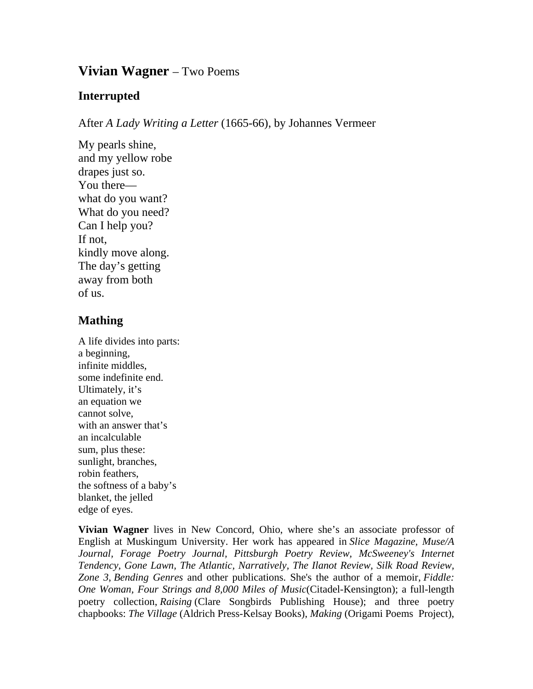## **Vivian Wagner** – Two Poems

## **Interrupted**

After *A Lady Writing a Letter* (1665-66), by Johannes Vermeer

My pearls shine, and my yellow robe drapes just so. You there what do you want? What do you need? Can I help you? If not, kindly move along. The day's getting away from both of us.

## **Mathing**

A life divides into parts: a beginning, infinite middles, some indefinite end. Ultimately, it's an equation we cannot solve, with an answer that's an incalculable sum, plus these: sunlight, branches, robin feathers, the softness of a baby's blanket, the jelled edge of eyes.

**Vivian Wagner** lives in New Concord, Ohio, where she's an associate professor of English at Muskingum University. Her work has appeared in *Slice Magazine, Muse/A*  Journal, Forage Poetry Journal, Pittsburgh Poetry Review, McSweeney's Internet *Tendency, Gone Lawn, The Atlantic, Narratively, The Ilanot Review, Silk Road Review, Zone 3*, *Bending Genres* and other publications. She's the author of a memoir, *Fiddle: One Woman, Four Strings and 8,000 Miles of Music*(Citadel-Kensington); a full-length poetry collection, *Raising* (Clare Songbirds Publishing House); and three poetry chapbooks: *The Village* (Aldrich Press-Kelsay Books), *Making* (Origami Poems Project),